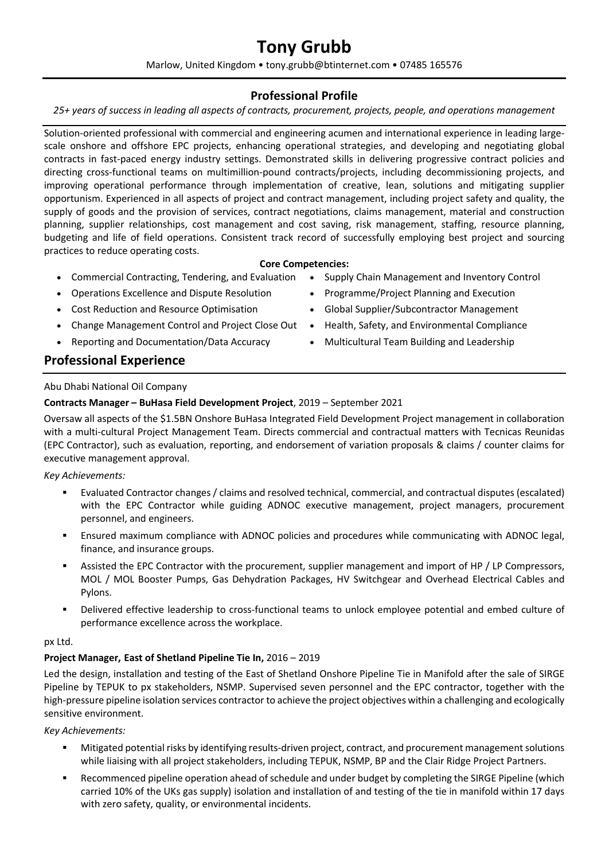# **Tony Grubb**

Marlow, United Kingdom • tony.grubb@btinternet.com • 07485 165576

# **Professional Profile**

*25+ years of success in leading all aspects of contracts, procurement, projects, people, and operations management*

Solution-oriented professional with commercial and engineering acumen and international experience in leading largescale onshore and offshore EPC projects, enhancing operational strategies, and developing and negotiating global contracts in fast-paced energy industry settings. Demonstrated skills in delivering progressive contract policies and directing cross-functional teams on multimillion-pound contracts/projects, including decommissioning projects, and improving operational performance through implementation of creative, lean, solutions and mitigating supplier opportunism. Experienced in all aspects of project and contract management, including project safety and quality, the supply of goods and the provision of services, contract negotiations, claims management, material and construction planning, supplier relationships, cost management and cost saving, risk management, staffing, resource planning, budgeting and life of field operations. Consistent track record of successfully employing best project and sourcing practices to reduce operating costs.

## **Core Competencies:**

- Commercial Contracting, Tendering, and Evaluation Supply Chain Management and Inventory Control
- Operations Excellence and Dispute Resolution
- Cost Reduction and Resource Optimisation
- Change Management Control and Project Close Out Health, Safety, and Environmental Compliance
- Reporting and Documentation/Data Accuracy

# **Professional Experience**

## Abu Dhabi National Oil Company

## **Contracts Manager – BuHasa Field Development Project**, 2019 – September 2021

Oversaw all aspects of the \$1.5BN Onshore BuHasa Integrated Field Development Project management in collaboration with a multi-cultural Project Management Team. Directs commercial and contractual matters with Tecnicas Reunidas (EPC Contractor), such as evaluation, reporting, and endorsement of variation proposals & claims / counter claims for executive management approval.

*Key Achievements:*

- Evaluated Contractor changes / claims and resolved technical, commercial, and contractual disputes (escalated) with the EPC Contractor while guiding ADNOC executive management, project managers, procurement personnel, and engineers.
- Ensured maximum compliance with ADNOC policies and procedures while communicating with ADNOC legal, finance, and insurance groups.
- Assisted the EPC Contractor with the procurement, supplier management and import of HP / LP Compressors, MOL / MOL Booster Pumps, Gas Dehydration Packages, HV Switchgear and Overhead Electrical Cables and Pylons.
- Delivered effective leadership to cross-functional teams to unlock employee potential and embed culture of performance excellence across the workplace.

#### px Ltd.

#### **Project Manager, East of Shetland Pipeline Tie In,** 2016 – 2019

Led the design, installation and testing of the East of Shetland Onshore Pipeline Tie in Manifold after the sale of SIRGE Pipeline by TEPUK to px stakeholders, NSMP. Supervised seven personnel and the EPC contractor, together with the high-pressure pipeline isolation services contractor to achieve the project objectives within a challenging and ecologically sensitive environment.

#### *Key Achievements:*

- Mitigated potential risks by identifying results-driven project, contract, and procurement management solutions while liaising with all project stakeholders, including TEPUK, NSMP, BP and the Clair Ridge Project Partners.
- Recommenced pipeline operation ahead of schedule and under budget by completing the SIRGE Pipeline (which carried 10% of the UKs gas supply) isolation and installation of and testing of the tie in manifold within 17 days with zero safety, quality, or environmental incidents.
- 
- Programme/Project Planning and Execution
- Global Supplier/Subcontractor Management
- 
- Multicultural Team Building and Leadership